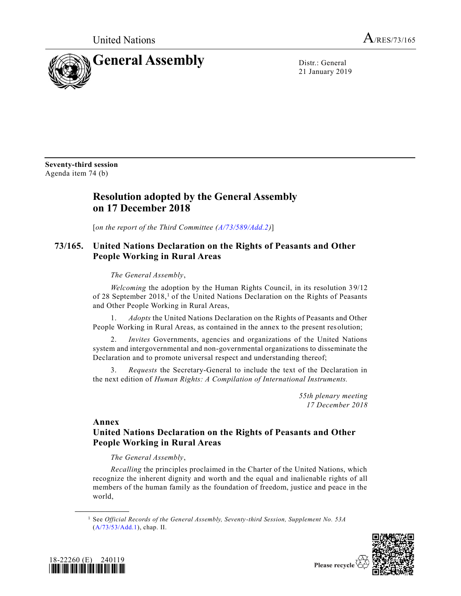

21 January 2019

**Seventy-third session** Agenda item 74 (b)

# **Resolution adopted by the General Assembly on 17 December 2018**

[*on the report of the Third Committee [\(A/73/589/Add.2\)](https://undocs.org/A/73/589/Add.2)*]

## **73/165. United Nations Declaration on the Rights of Peasants and Other People Working in Rural Areas**

*The General Assembly*,

*Welcoming* the adoption by the Human Rights Council, in its resolution 39/12 of 28 September 2018,<sup>1</sup> of the United Nations Declaration on the Rights of Peasants and Other People Working in Rural Areas,

1. *Adopts* the United Nations Declaration on the Rights of Peasants and Other People Working in Rural Areas, as contained in the annex to the present resolution;

2. *Invites* Governments, agencies and organizations of the United Nations system and intergovernmental and non-governmental organizations to disseminate the Declaration and to promote universal respect and understanding thereof;

3. *Requests* the Secretary-General to include the text of the Declaration in the next edition of *Human Rights: A Compilation of International Instruments.*

> *55th plenary meeting 17 December 2018*

## **Annex**

**\_\_\_\_\_\_\_\_\_\_\_\_\_\_\_\_\_\_**

# **United Nations Declaration on the Rights of Peasants and Other People Working in Rural Areas**

*The General Assembly*,

*Recalling* the principles proclaimed in the Charter of the United Nations, which recognize the inherent dignity and worth and the equal and inalienable rights of all members of the human family as the foundation of freedom, justice and peace in the world,

<sup>1</sup> See *Official Records of the General Assembly, Seventy-third Session, Supplement No. 53A* [\(A/73/53/Add.1\)](https://undocs.org/A/73/53/Add.1), chap. II.



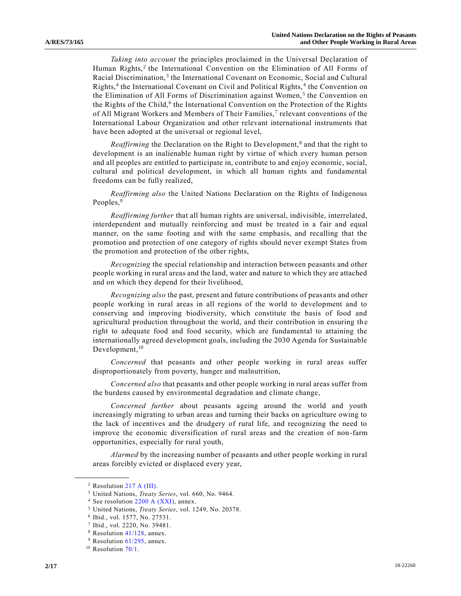<span id="page-1-1"></span><span id="page-1-0"></span>*Taking into account* the principles proclaimed in the Universal Declaration of Human Rights,<sup>2</sup> the International Convention on the Elimination of All Forms of Racial Discrimination,<sup>3</sup> the International Covenant on Economic, Social and Cultural Rights,<sup>[4](#page-1-0)</sup> the International Covenant on Civil and Political Rights,<sup>4</sup> the Convention on the Elimination of All Forms of Discrimination against Women,<sup>5</sup> the Convention on the Rights of the Child,<sup>6</sup> the International Convention on the Protection of the Rights of All Migrant Workers and Members of Their Families,<sup>7</sup> relevant conventions of the International Labour Organization and other relevant international instruments that have been adopted at the universal or regional level,

Reaffirming the Declaration on the Right to Development,<sup>8</sup> and that the right to development is an inalienable human right by virtue of which every human person and all peoples are entitled to participate in, contribute to and enjoy economic, social, cultural and political development, in which all human rights and fundamental freedoms can be fully realized,

*Reaffirming also* the United Nations Declaration on the Rights of Indigenous Peoples, 9

*Reaffirming further* that all human rights are universal, indivisible, interrelated, interdependent and mutually reinforcing and must be treated in a fair and equal manner, on the same footing and with the same emphasis, and recalling that the promotion and protection of one category of rights should never exempt States from the promotion and protection of the other rights,

*Recognizing* the special relationship and interaction between peasants and other people working in rural areas and the land, water and nature to which they are attached and on which they depend for their livelihood,

*Recognizing also* the past, present and future contributions of peasants and other people working in rural areas in all regions of the world to development and to conserving and improving biodiversity, which constitute the basis of food and agricultural production throughout the world, and their contribution in ensuring th e right to adequate food and food security, which are fundamental to attaining the internationally agreed development goals, including the 2030 Agenda for Sustainable Development, $10$ 

*Concerned* that peasants and other people working in rural areas suffer disproportionately from poverty, hunger and malnutrition,

*Concerned also* that peasants and other people working in rural areas suffer from the burdens caused by environmental degradation and climate change,

*Concerned further* about peasants ageing around the world and youth increasingly migrating to urban areas and turning their backs on agriculture owing to the lack of incentives and the drudgery of rural life, and recognizing the need to improve the economic diversification of rural areas and the creation of non-farm opportunities, especially for rural youth,

*Alarmed* by the increasing number of peasants and other people working in rural areas forcibly evicted or displaced every year,

**\_\_\_\_\_\_\_\_\_\_\_\_\_\_\_\_\_\_**

<sup>&</sup>lt;sup>2</sup> Resolution 217 A [\(III\).](https://undocs.org/A/RES/217(III))

<sup>3</sup> United Nations, *Treaty Series*, vol. 660, No. 9464.

 $4$  See resolution 2200 A [\(XXI\),](https://undocs.org/A/RES/2200(XXI)) annex.

<sup>5</sup> United Nations, *Treaty Series*, vol. 1249, No. 20378.

<sup>6</sup> Ibid., vol. 1577, No. 27531.

<sup>7</sup> Ibid., vol. 2220, No. 39481.

<sup>8</sup> Resolution [41/128,](https://undocs.org/A/RES/41/128) annex.

<sup>&</sup>lt;sup>9</sup> Resolution [61/295,](https://undocs.org/A/RES/61/295) annex.

 $10$  Resolution  $70/1$ .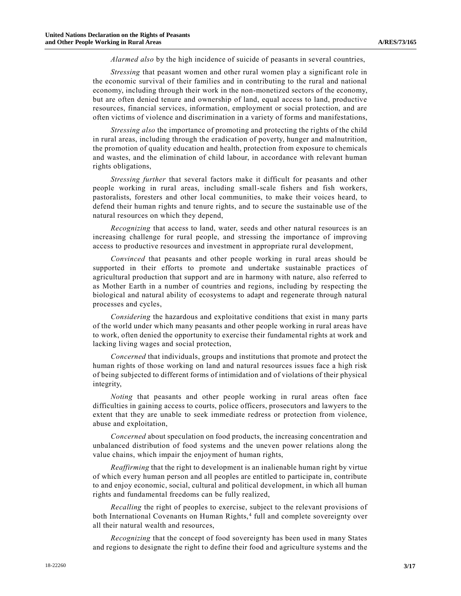*Alarmed also* by the high incidence of suicide of peasants in several countries,

*Stressing* that peasant women and other rural women play a significant role in the economic survival of their families and in contributing to the rural and national economy, including through their work in the non-monetized sectors of the economy, but are often denied tenure and ownership of land, equal access to land, productive resources, financial services, information, employment or social protection, and are often victims of violence and discrimination in a variety of forms and manifestations,

*Stressing also* the importance of promoting and protecting the rights of the child in rural areas, including through the eradication of poverty, hunger and malnutrition, the promotion of quality education and health, protection from exposure to chemicals and wastes, and the elimination of child labour, in accordance with relevant human rights obligations,

*Stressing further* that several factors make it difficult for peasants and other people working in rural areas, including small-scale fishers and fish workers, pastoralists, foresters and other local communities, to make their voices heard, to defend their human rights and tenure rights, and to secure the sustainable use of the natural resources on which they depend,

*Recognizing* that access to land, water, seeds and other natural resources is an increasing challenge for rural people, and stressing the importance of improving access to productive resources and investment in appropriate rural development,

*Convinced* that peasants and other people working in rural areas should be supported in their efforts to promote and undertake sustainable practices of agricultural production that support and are in harmony with nature, also referred to as Mother Earth in a number of countries and regions, including by respecting the biological and natural ability of ecosystems to adapt and regenerate through natural processes and cycles,

*Considering* the hazardous and exploitative conditions that exist in many parts of the world under which many peasants and other people working in rural areas have to work, often denied the opportunity to exercise their fundamental rights at work and lacking living wages and social protection,

*Concerned* that individuals, groups and institutions that promote and protect the human rights of those working on land and natural resources issues face a high risk of being subjected to different forms of intimidation and of violations of their physical integrity,

*Noting* that peasants and other people working in rural areas often face difficulties in gaining access to courts, police officers, prosecutors and lawyers to the extent that they are unable to seek immediate redress or protection from violence, abuse and exploitation,

*Concerned* about speculation on food products, the increasing concentration and unbalanced distribution of food systems and the uneven power relations along the value chains, which impair the enjoyment of human rights,

*Reaffirming* that the right to development is an inalienable human right by virtue of which every human person and all peoples are entitled to participate in, contribute to and enjoy economic, social, cultural and political development, in which all human rights and fundamental freedoms can be fully realized,

*Recalling* the right of peoples to exercise, subject to the relevant provisions of both International Covenants on Human Rights,<sup>[4](#page-1-0)</sup> full and complete sovereignty over all their natural wealth and resources,

*Recognizing* that the concept of food sovereignty has been used in many States and regions to designate the right to define their food and agriculture systems and the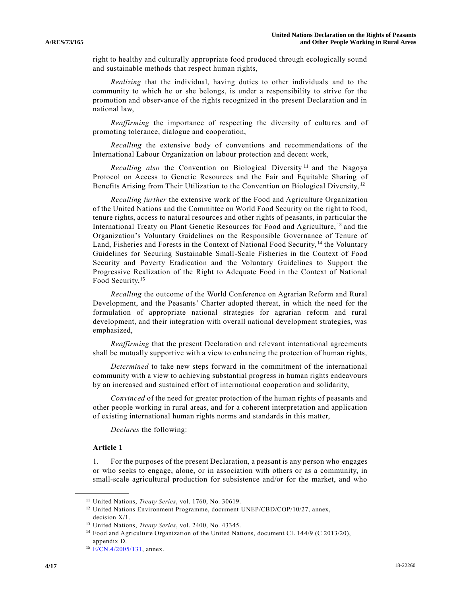right to healthy and culturally appropriate food produced through ecologically sound and sustainable methods that respect human rights,

*Realizing* that the individual, having duties to other individuals and to the community to which he or she belongs, is under a responsibility to strive for the promotion and observance of the rights recognized in the present Declaration and in national law,

*Reaffirming* the importance of respecting the diversity of cultures and of promoting tolerance, dialogue and cooperation,

*Recalling* the extensive body of conventions and recommendations of the International Labour Organization on labour protection and decent work,

*Recalling also* the Convention on Biological Diversity <sup>11</sup> and the Nagoya Protocol on Access to Genetic Resources and the Fair and Equitable Sharing of Benefits Arising from Their Utilization to the Convention on Biological Diversity, <sup>12</sup>

*Recalling further* the extensive work of the Food and Agriculture Organization of the United Nations and the Committee on World Food Security on the right to food, tenure rights, access to natural resources and other rights of peasants, in particular the International Treaty on Plant Genetic Resources for Food and Agriculture, <sup>13</sup> and the Organization's Voluntary Guidelines on the Responsible Governance of Tenure of Land, Fisheries and Forests in the Context of National Food Security, <sup>14</sup> the Voluntary Guidelines for Securing Sustainable Small-Scale Fisheries in the Context of Food Security and Poverty Eradication and the Voluntary Guidelines to Support the Progressive Realization of the Right to Adequate Food in the Context of National Food Security,<sup>15</sup>

*Recalling* the outcome of the World Conference on Agrarian Reform and Rural Development, and the Peasants' Charter adopted thereat, in which the need for the formulation of appropriate national strategies for agrarian reform and rural development, and their integration with overall national development strategies, was emphasized,

*Reaffirming* that the present Declaration and relevant international agreements shall be mutually supportive with a view to enhancing the protection of human rights,

*Determined* to take new steps forward in the commitment of the international community with a view to achieving substantial progress in human rights endeavours by an increased and sustained effort of international cooperation and solidarity,

*Convinced* of the need for greater protection of the human rights of peasants and other people working in rural areas, and for a coherent interpretation and application of existing international human rights norms and standards in this matter,

*Declares* the following:

## **Article 1**

**\_\_\_\_\_\_\_\_\_\_\_\_\_\_\_\_\_\_**

1. For the purposes of the present Declaration, a peasant is any person who engages or who seeks to engage, alone, or in association with others or as a community, in small-scale agricultural production for subsistence and/or for the market, and who

<sup>11</sup> United Nations, *Treaty Series*, vol. 1760, No. 30619.

<sup>&</sup>lt;sup>12</sup> United Nations Environment Programme, document UNEP/CBD/COP/10/27, annex, decision X/1.

<sup>13</sup> United Nations, *Treaty Series*, vol. 2400, No. 43345.

<sup>&</sup>lt;sup>14</sup> Food and Agriculture Organization of the United Nations, document CL 144/9 (C 2013/20), appendix D.

<sup>15</sup> [E/CN.4/2005/131,](https://undocs.org/E/CN.4/2005/131) annex.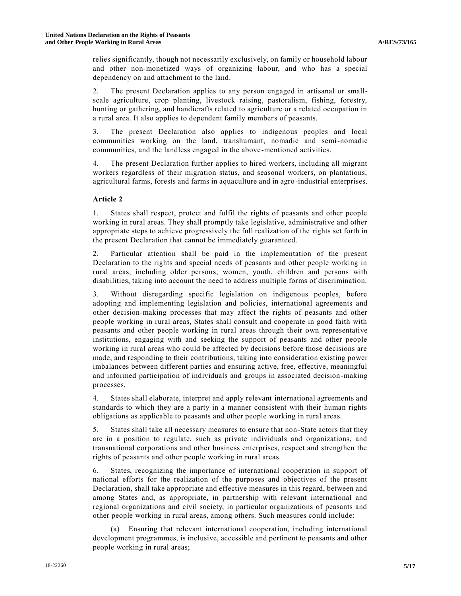relies significantly, though not necessarily exclusively, on family or household labour and other non-monetized ways of organizing labour, and who has a special dependency on and attachment to the land.

2. The present Declaration applies to any person engaged in artisanal or smallscale agriculture, crop planting, livestock raising, pastoralism, fishing, forestry, hunting or gathering, and handicrafts related to agriculture or a related occupation in a rural area. It also applies to dependent family members of peasants.

3. The present Declaration also applies to indigenous peoples and local communities working on the land, transhumant, nomadic and semi-nomadic communities, and the landless engaged in the above-mentioned activities.

4. The present Declaration further applies to hired workers, including all migrant workers regardless of their migration status, and seasonal workers, on plantations, agricultural farms, forests and farms in aquaculture and in agro-industrial enterprises.

## **Article 2**

1. States shall respect, protect and fulfil the rights of peasants and other people working in rural areas. They shall promptly take legislative, administrative and other appropriate steps to achieve progressively the full realization of the rights set forth in the present Declaration that cannot be immediately guaranteed.

2. Particular attention shall be paid in the implementation of the present Declaration to the rights and special needs of peasants and other people working in rural areas, including older persons, women, youth, children and persons with disabilities, taking into account the need to address multiple forms of discrimination.

3. Without disregarding specific legislation on indigenous peoples, before adopting and implementing legislation and policies, international agreements and other decision-making processes that may affect the rights of peasants and other people working in rural areas, States shall consult and cooperate in good faith with peasants and other people working in rural areas through their own representative institutions, engaging with and seeking the support of peasants and other people working in rural areas who could be affected by decisions before those decisions are made, and responding to their contributions, taking into consideration existing power imbalances between different parties and ensuring active, free, effective, meaningful and informed participation of individuals and groups in associated decision-making processes.

4. States shall elaborate, interpret and apply relevant international agreements and standards to which they are a party in a manner consistent with their human rights obligations as applicable to peasants and other people working in rural areas.

5. States shall take all necessary measures to ensure that non-State actors that they are in a position to regulate, such as private individuals and organizations, and transnational corporations and other business enterprises, respect and strengthen the rights of peasants and other people working in rural areas.

6. States, recognizing the importance of international cooperation in support of national efforts for the realization of the purposes and objectives of the present Declaration, shall take appropriate and effective measures in this regard, between and among States and, as appropriate, in partnership with relevant international and regional organizations and civil society, in particular organizations of peasants and other people working in rural areas, among others. Such measures could include:

(a) Ensuring that relevant international cooperation, including international development programmes, is inclusive, accessible and pertinent to peasants and other people working in rural areas;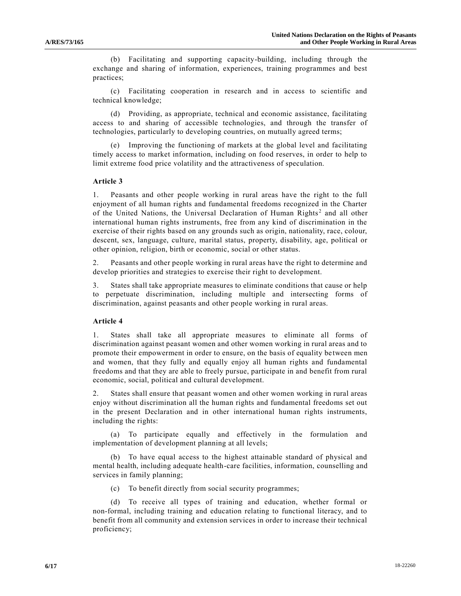(b) Facilitating and supporting capacity-building, including through the exchange and sharing of information, experiences, training programmes and best practices;

(c) Facilitating cooperation in research and in access to scientific and technical knowledge;

(d) Providing, as appropriate, technical and economic assistance, facilitating access to and sharing of accessible technologies, and through the transfer of technologies, particularly to developing countries, on mutually agreed terms;

(e) Improving the functioning of markets at the global level and facilitating timely access to market information, including on food reserves, in order to help to limit extreme food price volatility and the attractiveness of speculation.

#### **Article 3**

1. Peasants and other people working in rural areas have the right to the full enjoyment of all human rights and fundamental freedoms recognized in the Charter of the United Nations, the Universal Declaration of Human Rights<sup>[2](#page-1-1)</sup> and all other international human rights instruments, free from any kind of discrimination in the exercise of their rights based on any grounds such as origin, nationality, race, colour, descent, sex, language, culture, marital status, property, disability, age, political or other opinion, religion, birth or economic, social or other status.

2. Peasants and other people working in rural areas have the right to determine and develop priorities and strategies to exercise their right to development.

3. States shall take appropriate measures to eliminate conditions that cause or help to perpetuate discrimination, including multiple and intersecting forms of discrimination, against peasants and other people working in rural areas.

#### **Article 4**

1. States shall take all appropriate measures to eliminate all forms of discrimination against peasant women and other women working in rural areas and to promote their empowerment in order to ensure, on the basis of equality between men and women, that they fully and equally enjoy all human rights and fundamental freedoms and that they are able to freely pursue, participate in and benefit from rural economic, social, political and cultural development.

2. States shall ensure that peasant women and other women working in rural areas enjoy without discrimination all the human rights and fundamental freedoms set out in the present Declaration and in other international human rights instruments, including the rights:

(a) To participate equally and effectively in the formulation and implementation of development planning at all levels;

(b) To have equal access to the highest attainable standard of physical and mental health, including adequate health-care facilities, information, counselling and services in family planning;

(c) To benefit directly from social security programmes;

(d) To receive all types of training and education, whether formal or non-formal, including training and education relating to functional literacy, and to benefit from all community and extension services in order to increase their technical proficiency;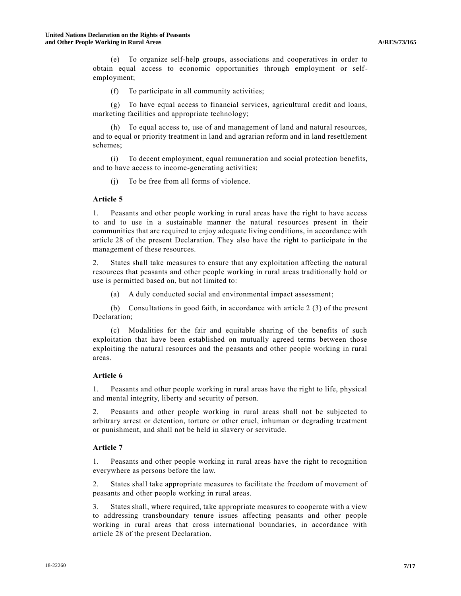(e) To organize self-help groups, associations and cooperatives in order to obtain equal access to economic opportunities through employment or selfemployment;

(f) To participate in all community activities;

(g) To have equal access to financial services, agricultural credit and loans, marketing facilities and appropriate technology;

(h) To equal access to, use of and management of land and natural resources, and to equal or priority treatment in land and agrarian reform and in land resettlement schemes;

(i) To decent employment, equal remuneration and social protection benefits, and to have access to income-generating activities;

(j) To be free from all forms of violence.

#### **Article 5**

1. Peasants and other people working in rural areas have the right to have access to and to use in a sustainable manner the natural resources present in their communities that are required to enjoy adequate living conditions, in accordance with article 28 of the present Declaration. They also have the right to participate in the management of these resources.

2. States shall take measures to ensure that any exploitation affecting the natural resources that peasants and other people working in rural areas traditionally hold or use is permitted based on, but not limited to:

(a) A duly conducted social and environmental impact assessment;

(b) Consultations in good faith, in accordance with article 2 (3) of the present Declaration;

(c) Modalities for the fair and equitable sharing of the benefits of such exploitation that have been established on mutually agreed terms between those exploiting the natural resources and the peasants and other people working in rural areas.

#### **Article 6**

1. Peasants and other people working in rural areas have the right to life, physical and mental integrity, liberty and security of person.

2. Peasants and other people working in rural areas shall not be subjected to arbitrary arrest or detention, torture or other cruel, inhuman or degrading treatment or punishment, and shall not be held in slavery or servitude.

## **Article 7**

1. Peasants and other people working in rural areas have the right to recognition everywhere as persons before the law.

2. States shall take appropriate measures to facilitate the freedom of movement of peasants and other people working in rural areas.

3. States shall, where required, take appropriate measures to cooperate with a view to addressing transboundary tenure issues affecting peasants and other people working in rural areas that cross international boundaries, in accordance with article 28 of the present Declaration.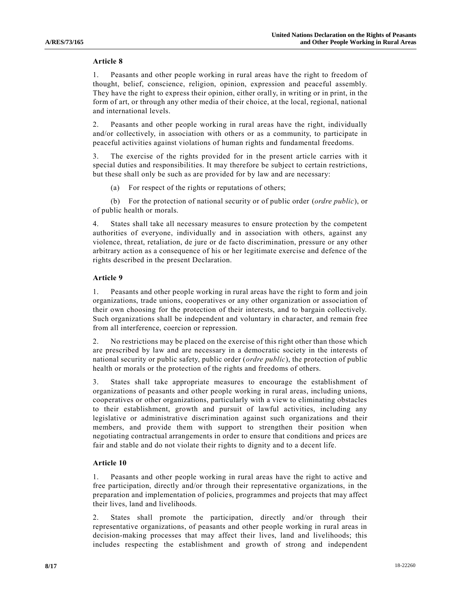1. Peasants and other people working in rural areas have the right to freedom of thought, belief, conscience, religion, opinion, expression and peaceful assembly. They have the right to express their opinion, either orally, in writing or in print, in the form of art, or through any other media of their choice, at the local, regional, national and international levels.

2. Peasants and other people working in rural areas have the right, individually and/or collectively, in association with others or as a community, to participate in peaceful activities against violations of human rights and fundamental freedoms.

3. The exercise of the rights provided for in the present article carries with it special duties and responsibilities. It may therefore be subject to certain restrictions, but these shall only be such as are provided for by law and are necessary:

(a) For respect of the rights or reputations of others;

(b) For the protection of national security or of public order (*ordre public*), or of public health or morals.

4. States shall take all necessary measures to ensure protection by the competent authorities of everyone, individually and in association with others, against any violence, threat, retaliation, de jure or de facto discrimination, pressure or any other arbitrary action as a consequence of his or her legitimate exercise and defence of the rights described in the present Declaration.

## **Article 9**

1. Peasants and other people working in rural areas have the right to form and join organizations, trade unions, cooperatives or any other organization or association of their own choosing for the protection of their interests, and to bargain collectively. Such organizations shall be independent and voluntary in character, and remain free from all interference, coercion or repression.

2. No restrictions may be placed on the exercise of this right other than those which are prescribed by law and are necessary in a democratic society in the interests of national security or public safety, public order (*ordre public*), the protection of public health or morals or the protection of the rights and freedoms of others.

3. States shall take appropriate measures to encourage the establishment of organizations of peasants and other people working in rural areas, including unions, cooperatives or other organizations, particularly with a view to eliminating obstacles to their establishment, growth and pursuit of lawful activities, including any legislative or administrative discrimination against such organizations and their members, and provide them with support to strengthen their position when negotiating contractual arrangements in order to ensure that conditions and prices are fair and stable and do not violate their rights to dignity and to a decent life.

## **Article 10**

1. Peasants and other people working in rural areas have the right to active and free participation, directly and/or through their representative organizations, in the preparation and implementation of policies, programmes and projects that may affect their lives, land and livelihoods.

2. States shall promote the participation, directly and/or through their representative organizations, of peasants and other people working in rural areas in decision-making processes that may affect their lives, land and livelihoods; this includes respecting the establishment and growth of strong and independent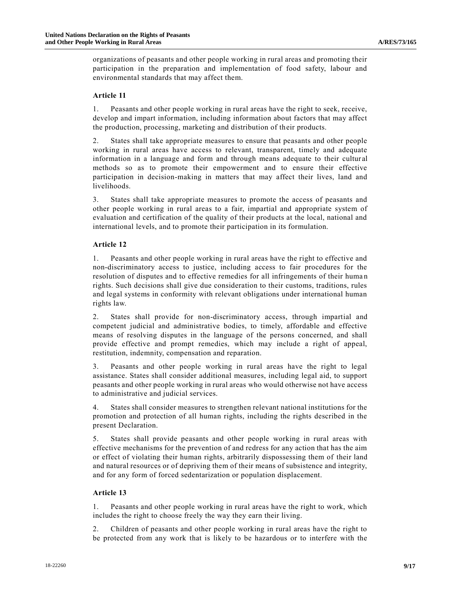organizations of peasants and other people working in rural areas and promoting their participation in the preparation and implementation of food safety, labour and environmental standards that may affect them.

## **Article 11**

1. Peasants and other people working in rural areas have the right to seek, receive, develop and impart information, including information about factors that may affect the production, processing, marketing and distribution of their products.

2. States shall take appropriate measures to ensure that peasants and other people working in rural areas have access to relevant, transparent, timely and adequate information in a language and form and through means adequate to their cultural methods so as to promote their empowerment and to ensure their effective participation in decision-making in matters that may affect their lives, land and livelihoods.

3. States shall take appropriate measures to promote the access of peasants and other people working in rural areas to a fair, impartial and appropriate system of evaluation and certification of the quality of their products at the local, national and international levels, and to promote their participation in its formulation.

## **Article 12**

1. Peasants and other people working in rural areas have the right to effective and non-discriminatory access to justice, including access to fair procedures for the resolution of disputes and to effective remedies for all infringements of their huma n rights. Such decisions shall give due consideration to their customs, traditions, rules and legal systems in conformity with relevant obligations under international human rights law.

2. States shall provide for non-discriminatory access, through impartial and competent judicial and administrative bodies, to timely, affordable and effective means of resolving disputes in the language of the persons concerned, and shall provide effective and prompt remedies, which may include a right of appeal, restitution, indemnity, compensation and reparation.

3. Peasants and other people working in rural areas have the right to legal assistance. States shall consider additional measures, including legal aid, to support peasants and other people working in rural areas who would otherwise not have access to administrative and judicial services.

4. States shall consider measures to strengthen relevant national institutions for the promotion and protection of all human rights, including the rights described in the present Declaration.

5. States shall provide peasants and other people working in rural areas with effective mechanisms for the prevention of and redress for any action that has the aim or effect of violating their human rights, arbitrarily dispossessing them of their land and natural resources or of depriving them of their means of subsistence and integrity, and for any form of forced sedentarization or population displacement.

## **Article 13**

1. Peasants and other people working in rural areas have the right to work, which includes the right to choose freely the way they earn their living.

2. Children of peasants and other people working in rural areas have the right to be protected from any work that is likely to be hazardous or to interfere with the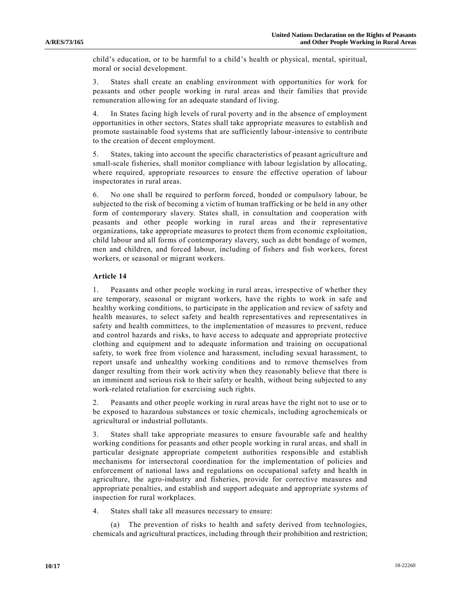child's education, or to be harmful to a child's health or physical, mental, spiritual, moral or social development.

3. States shall create an enabling environment with opportunities for work for peasants and other people working in rural areas and their families that provide remuneration allowing for an adequate standard of living.

4. In States facing high levels of rural poverty and in the absence of employment opportunities in other sectors, States shall take appropriate measures to establish and promote sustainable food systems that are sufficiently labour-intensive to contribute to the creation of decent employment.

5. States, taking into account the specific characteristics of peasant agriculture and small-scale fisheries, shall monitor compliance with labour legislation by allocating, where required, appropriate resources to ensure the effective operation of labour inspectorates in rural areas.

6. No one shall be required to perform forced, bonded or compulsory labour, be subjected to the risk of becoming a victim of human trafficking or be held in any other form of contemporary slavery. States shall, in consultation and cooperation with peasants and other people working in rural areas and their representative organizations, take appropriate measures to protect them from economic exploitation, child labour and all forms of contemporary slavery, such as debt bondage of women, men and children, and forced labour, including of fishers and fish workers, forest workers, or seasonal or migrant workers.

#### **Article 14**

1. Peasants and other people working in rural areas, irrespective of whether they are temporary, seasonal or migrant workers, have the rights to work in safe and healthy working conditions, to participate in the application and review of safety and health measures, to select safety and health representatives and representatives in safety and health committees, to the implementation of measures to prevent, reduce and control hazards and risks, to have access to adequate and appropriate protective clothing and equipment and to adequate information and training on occupational safety, to work free from violence and harassment, including sexual harassment, to report unsafe and unhealthy working conditions and to remove themselves from danger resulting from their work activity when they reasonably believe that there is an imminent and serious risk to their safety or health, without being subjected to any work-related retaliation for exercising such rights.

2. Peasants and other people working in rural areas have the right not to use or to be exposed to hazardous substances or toxic chemicals, including agrochemicals or agricultural or industrial pollutants.

3. States shall take appropriate measures to ensure favourable safe and healthy working conditions for peasants and other people working in rural areas, and shall in particular designate appropriate competent authorities responsible and establish mechanisms for intersectoral coordination for the implementation of policies and enforcement of national laws and regulations on occupational safety and health in agriculture, the agro-industry and fisheries, provide for corrective measures and appropriate penalties, and establish and support adequate and appropriate systems of inspection for rural workplaces.

4. States shall take all measures necessary to ensure:

(a) The prevention of risks to health and safety derived from technologies, chemicals and agricultural practices, including through their prohibition and restriction;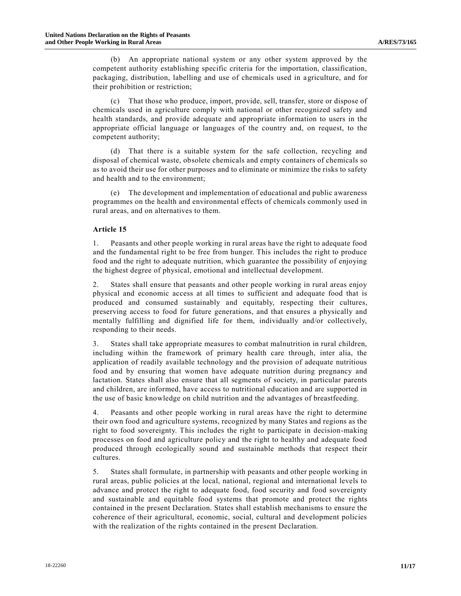(b) An appropriate national system or any other system approved by the competent authority establishing specific criteria for the importation, classification, packaging, distribution, labelling and use of chemicals used in agriculture, and for their prohibition or restriction;

(c) That those who produce, import, provide, sell, transfer, store or dispose of chemicals used in agriculture comply with national or other recognized safety and health standards, and provide adequate and appropriate information to users in the appropriate official language or languages of the country and, on request, to the competent authority;

(d) That there is a suitable system for the safe collection, recycling and disposal of chemical waste, obsolete chemicals and empty containers of chemicals so as to avoid their use for other purposes and to eliminate or minimize the risks to safety and health and to the environment;

(e) The development and implementation of educational and public awareness programmes on the health and environmental effects of chemicals commonly used in rural areas, and on alternatives to them.

## **Article 15**

1. Peasants and other people working in rural areas have the right to adequate food and the fundamental right to be free from hunger. This includes the right to produce food and the right to adequate nutrition, which guarantee the possibility of enjoying the highest degree of physical, emotional and intellectual development.

2. States shall ensure that peasants and other people working in rural areas enjoy physical and economic access at all times to sufficient and adequate food that is produced and consumed sustainably and equitably, respecting their cultures, preserving access to food for future generations, and that ensures a physically and mentally fulfilling and dignified life for them, individually and/or collectively, responding to their needs.

3. States shall take appropriate measures to combat malnutrition in rural children, including within the framework of primary health care through, inter alia, the application of readily available technology and the provision of adequate nutritious food and by ensuring that women have adequate nutrition during pregnancy and lactation. States shall also ensure that all segments of society, in particular parents and children, are informed, have access to nutritional education and are supported in the use of basic knowledge on child nutrition and the advantages of breastfeeding.

4. Peasants and other people working in rural areas have the right to determine their own food and agriculture systems, recognized by many States and regions as the right to food sovereignty. This includes the right to participate in decision-making processes on food and agriculture policy and the right to healthy and adequate food produced through ecologically sound and sustainable methods that respect their cultures.

5. States shall formulate, in partnership with peasants and other people working in rural areas, public policies at the local, national, regional and international levels to advance and protect the right to adequate food, food security and food sovereignty and sustainable and equitable food systems that promote and protect the rights contained in the present Declaration. States shall establish mechanisms to ensure the coherence of their agricultural, economic, social, cultural and development policies with the realization of the rights contained in the present Declaration.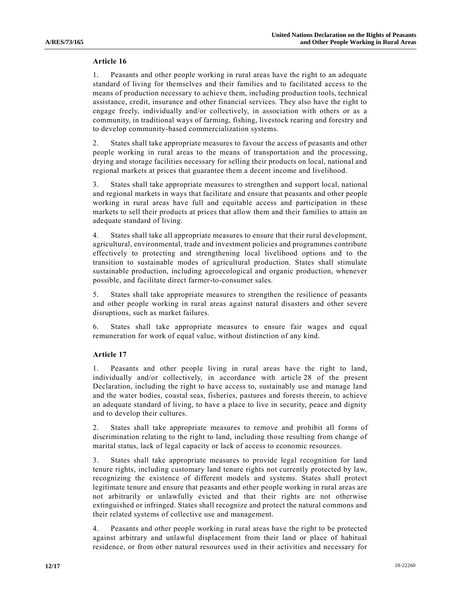1. Peasants and other people working in rural areas have the right to an adequate standard of living for themselves and their families and to facilitated access to the means of production necessary to achieve them, including production tools, technical assistance, credit, insurance and other financial services. They also have the right to engage freely, individually and/or collectively, in association with others or as a community, in traditional ways of farming, fishing, livestock rearing and forestry and to develop community-based commercialization systems.

2. States shall take appropriate measures to favour the access of peasants and other people working in rural areas to the means of transportation and the processing, drying and storage facilities necessary for selling their products on local, national and regional markets at prices that guarantee them a decent income and livelihood.

3. States shall take appropriate measures to strengthen and support local, national and regional markets in ways that facilitate and ensure that peasants and other people working in rural areas have full and equitable access and participation in these markets to sell their products at prices that allow them and their families to attain an adequate standard of living.

4. States shall take all appropriate measures to ensure that their rural development, agricultural, environmental, trade and investment policies and programmes contribute effectively to protecting and strengthening local livelihood options and to the transition to sustainable modes of agricultural production. States shall stimulate sustainable production, including agroecological and organic production, whenever possible, and facilitate direct farmer-to-consumer sales.

5. States shall take appropriate measures to strengthen the resilience of peasants and other people working in rural areas against natural disasters and other severe disruptions, such as market failures.

6. States shall take appropriate measures to ensure fair wages and equal remuneration for work of equal value, without distinction of any kind.

#### **Article 17**

1. Peasants and other people living in rural areas have the right to land, individually and/or collectively, in accordance with article 28 of the present Declaration, including the right to have access to, sustainably use and manage land and the water bodies, coastal seas, fisheries, pastures and forests therein, to achieve an adequate standard of living, to have a place to live in security, peace and dignity and to develop their cultures.

2. States shall take appropriate measures to remove and prohibit all forms of discrimination relating to the right to land, including those resulting from change of marital status, lack of legal capacity or lack of access to economic resources.

3. States shall take appropriate measures to provide legal recognition for land tenure rights, including customary land tenure rights not currently protected by law, recognizing the existence of different models and systems. States shall protect legitimate tenure and ensure that peasants and other people working in rural areas are not arbitrarily or unlawfully evicted and that their rights are not otherwise extinguished or infringed. States shall recognize and protect the natural commons and their related systems of collective use and management.

4. Peasants and other people working in rural areas have the right to be protected against arbitrary and unlawful displacement from their land or place of habitual residence, or from other natural resources used in their activities and necessary for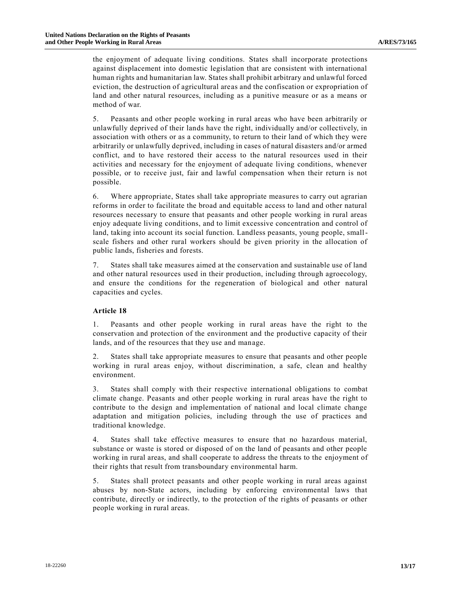the enjoyment of adequate living conditions. States shall incorporate protections against displacement into domestic legislation that are consistent with international human rights and humanitarian law. States shall prohibit arbitrary and unlawful forced eviction, the destruction of agricultural areas and the confiscation or expropriation of land and other natural resources, including as a punitive measure or as a means or method of war.

5. Peasants and other people working in rural areas who have been arbitrarily or unlawfully deprived of their lands have the right, individually and/or collectively, in association with others or as a community, to return to their land of which they were arbitrarily or unlawfully deprived, including in cases of natural disasters and/or armed conflict, and to have restored their access to the natural resources used in their activities and necessary for the enjoyment of adequate living conditions, whenever possible, or to receive just, fair and lawful compensation when their return is not possible.

6. Where appropriate, States shall take appropriate measures to carry out agrarian reforms in order to facilitate the broad and equitable access to land and other natural resources necessary to ensure that peasants and other people working in rural areas enjoy adequate living conditions, and to limit excessive concentration and control of land, taking into account its social function. Landless peasants, young people, smallscale fishers and other rural workers should be given priority in the allocation of public lands, fisheries and forests.

7. States shall take measures aimed at the conservation and sustainable use of land and other natural resources used in their production, including through agroecology, and ensure the conditions for the regeneration of biological and other natural capacities and cycles.

## **Article 18**

1. Peasants and other people working in rural areas have the right to the conservation and protection of the environment and the productive capacity of their lands, and of the resources that they use and manage.

2. States shall take appropriate measures to ensure that peasants and other people working in rural areas enjoy, without discrimination, a safe, clean and healthy environment.

3. States shall comply with their respective international obligations to combat climate change. Peasants and other people working in rural areas have the right to contribute to the design and implementation of national and local climate change adaptation and mitigation policies, including through the use of practices and traditional knowledge.

4. States shall take effective measures to ensure that no hazardous material, substance or waste is stored or disposed of on the land of peasants and other people working in rural areas, and shall cooperate to address the threats to the enjoyment of their rights that result from transboundary environmental harm.

5. States shall protect peasants and other people working in rural areas against abuses by non-State actors, including by enforcing environmental laws that contribute, directly or indirectly, to the protection of the rights of peasants or other people working in rural areas.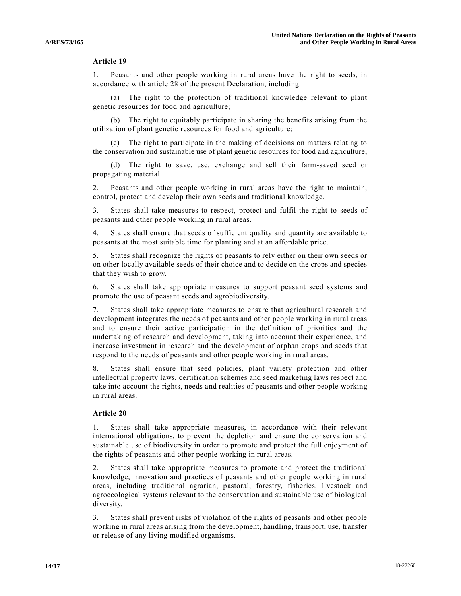1. Peasants and other people working in rural areas have the right to seeds, in accordance with article 28 of the present Declaration, including:

(a) The right to the protection of traditional knowledge relevant to plant genetic resources for food and agriculture;

(b) The right to equitably participate in sharing the benefits arising from the utilization of plant genetic resources for food and agriculture;

(c) The right to participate in the making of decisions on matters relating to the conservation and sustainable use of plant genetic resources for food and agriculture;

(d) The right to save, use, exchange and sell their farm-saved seed or propagating material.

2. Peasants and other people working in rural areas have the right to maintain, control, protect and develop their own seeds and traditional knowledge.

3. States shall take measures to respect, protect and fulfil the right to seeds of peasants and other people working in rural areas.

4. States shall ensure that seeds of sufficient quality and quantity are available to peasants at the most suitable time for planting and at an affordable price.

5. States shall recognize the rights of peasants to rely either on their own seeds or on other locally available seeds of their choice and to decide on the crops and species that they wish to grow.

6. States shall take appropriate measures to support peasant seed systems and promote the use of peasant seeds and agrobiodiversity.

7. States shall take appropriate measures to ensure that agricultural research and development integrates the needs of peasants and other people working in rural areas and to ensure their active participation in the definition of priorities and the undertaking of research and development, taking into account their experience, and increase investment in research and the development of orphan crops and seeds that respond to the needs of peasants and other people working in rural areas.

8. States shall ensure that seed policies, plant variety protection and other intellectual property laws, certification schemes and seed marketing laws respect and take into account the rights, needs and realities of peasants and other people working in rural areas.

## **Article 20**

1. States shall take appropriate measures, in accordance with their relevant international obligations, to prevent the depletion and ensure the conservation and sustainable use of biodiversity in order to promote and protect the full enjoyment of the rights of peasants and other people working in rural areas.

2. States shall take appropriate measures to promote and protect the traditional knowledge, innovation and practices of peasants and other people working in rural areas, including traditional agrarian, pastoral, forestry, fisheries, livestock and agroecological systems relevant to the conservation and sustainable use of biological diversity.

3. States shall prevent risks of violation of the rights of peasants and other people working in rural areas arising from the development, handling, transport, use, transfer or release of any living modified organisms.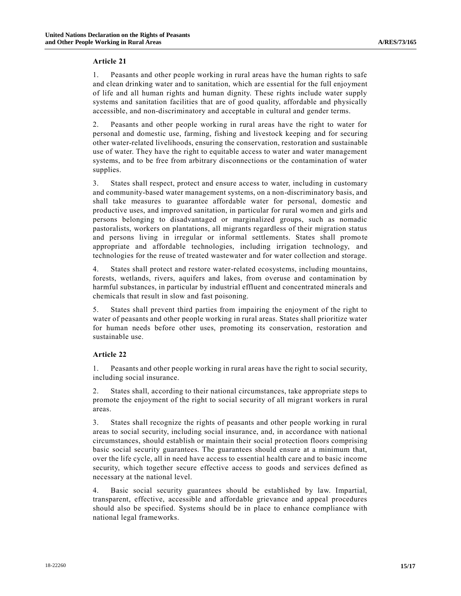1. Peasants and other people working in rural areas have the human rights to safe and clean drinking water and to sanitation, which are essential for the full enjoyment of life and all human rights and human dignity. These rights include water supply systems and sanitation facilities that are of good quality, affordable and physically accessible, and non-discriminatory and acceptable in cultural and gender terms.

2. Peasants and other people working in rural areas have the right to water for personal and domestic use, farming, fishing and livestock keeping and for securing other water-related livelihoods, ensuring the conservation, restoration and sustainable use of water. They have the right to equitable access to water and water management systems, and to be free from arbitrary disconnections or the contamination of water supplies.

3. States shall respect, protect and ensure access to water, including in customary and community-based water management systems, on a non-discriminatory basis, and shall take measures to guarantee affordable water for personal, domestic and productive uses, and improved sanitation, in particular for rural women and girls and persons belonging to disadvantaged or marginalized groups, such as nomadic pastoralists, workers on plantations, all migrants regardless of their migration status and persons living in irregular or informal settlements. States shall promo te appropriate and affordable technologies, including irrigation technology, and technologies for the reuse of treated wastewater and for water collection and storage.

4. States shall protect and restore water-related ecosystems, including mountains, forests, wetlands, rivers, aquifers and lakes, from overuse and contamination by harmful substances, in particular by industrial effluent and concentrated minerals and chemicals that result in slow and fast poisoning.

5. States shall prevent third parties from impairing the enjoyment of the right to water of peasants and other people working in rural areas. States shall prioritize water for human needs before other uses, promoting its conservation, restoration and sustainable use.

#### **Article 22**

1. Peasants and other people working in rural areas have the right to social security, including social insurance.

2. States shall, according to their national circumstances, take appropriate steps to promote the enjoyment of the right to social security of all migrant workers in rural areas.

3. States shall recognize the rights of peasants and other people working in rural areas to social security, including social insurance, and, in accordance with national circumstances, should establish or maintain their social protection floors comprising basic social security guarantees. The guarantees should ensure at a minimum that, over the life cycle, all in need have access to essential health care and to basic income security, which together secure effective access to goods and services defined as necessary at the national level.

4. Basic social security guarantees should be established by law. Impartial, transparent, effective, accessible and affordable grievance and appeal procedures should also be specified. Systems should be in place to enhance compliance with national legal frameworks.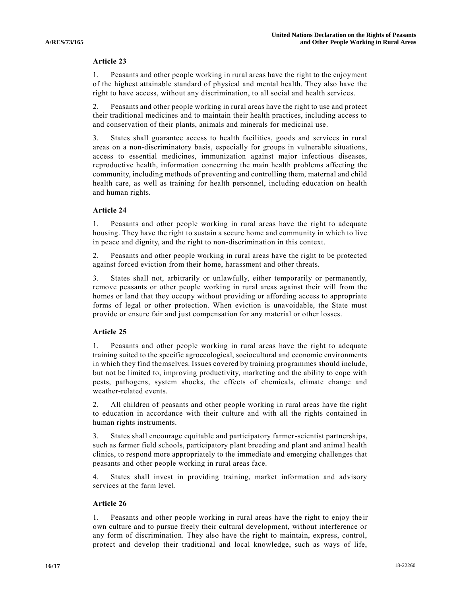1. Peasants and other people working in rural areas have the right to the enjoyment of the highest attainable standard of physical and mental health. They also have the right to have access, without any discrimination, to all social and health services.

2. Peasants and other people working in rural areas have the right to use and protect their traditional medicines and to maintain their health practices, including access to and conservation of their plants, animals and minerals for medicinal use.

3. States shall guarantee access to health facilities, goods and services in rural areas on a non-discriminatory basis, especially for groups in vulnerable situations, access to essential medicines, immunization against major infectious diseases, reproductive health, information concerning the main health problems affecting the community, including methods of preventing and controlling them, maternal and child health care, as well as training for health personnel, including education on health and human rights.

## **Article 24**

1. Peasants and other people working in rural areas have the right to adequate housing. They have the right to sustain a secure home and community in which to live in peace and dignity, and the right to non-discrimination in this context.

2. Peasants and other people working in rural areas have the right to be protected against forced eviction from their home, harassment and other threats.

3. States shall not, arbitrarily or unlawfully, either temporarily or permanently, remove peasants or other people working in rural areas against their will from the homes or land that they occupy without providing or affording access to appropriate forms of legal or other protection. When eviction is unavoidable, the State must provide or ensure fair and just compensation for any material or other losses.

#### **Article 25**

1. Peasants and other people working in rural areas have the right to adequate training suited to the specific agroecological, sociocultural and economic environments in which they find themselves. Issues covered by training programmes should include, but not be limited to, improving productivity, marketing and the ability to cope with pests, pathogens, system shocks, the effects of chemicals, climate change and weather-related events.

2. All children of peasants and other people working in rural areas have the right to education in accordance with their culture and with all the rights contained in human rights instruments.

3. States shall encourage equitable and participatory farmer-scientist partnerships, such as farmer field schools, participatory plant breeding and plant and animal health clinics, to respond more appropriately to the immediate and emerging challenges that peasants and other people working in rural areas face.

4. States shall invest in providing training, market information and advisory services at the farm level.

#### **Article 26**

1. Peasants and other people working in rural areas have the right to enjoy the ir own culture and to pursue freely their cultural development, without interference or any form of discrimination. They also have the right to maintain, express, control, protect and develop their traditional and local knowledge, such as ways of life,